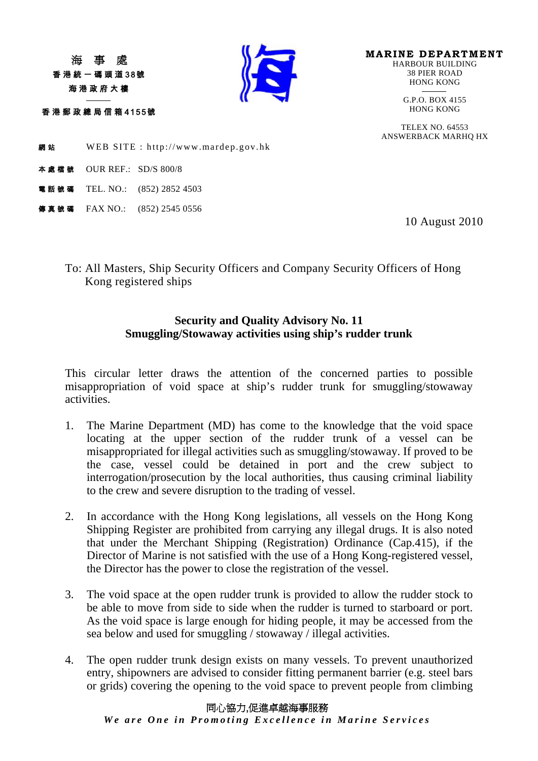香港統一碼頭道38號 海港政府大樓

香港郵政總局信箱 4155號

j



**MARINE DEPARTMENT**<br>HARBOUR BUILDING 38 PIER ROAD HONG KONG

-G.P.O. BOX 4155<br>HONG KONG

TELEX NO. 64553 ANSWERBACK MARHQ HX

網站 WEB SITE : http://www.mardep.gov.hk

- 本處檔號 OUR REF.: SD/S 800/8
- **話號碼** TEL. NO.: (852) 2852 4503
- 事真號碼 FAX NO.: (852) 2545 0556

10 August 2010

To: All Masters, Ship Security Officers and Company Security Officers of Hong Kong registered ships

## **Security and Quality Advisory No. 11 Smuggling/Stowaway activities using ship's rudder trunk**

This circular letter draws the attention of the concerned parties to possible misappropriation of void space at ship's rudder trunk for smuggling/stowaway activities.

- 1. The Marine Department (MD) has come to the knowledge that the void space locating at the upper section of the rudder trunk of a vessel can be misappropriated for illegal activities such as smuggling/stowaway. If proved to be the case, vessel could be detained in port and the crew subject to interrogation/prosecution by the local authorities, thus causing criminal liability to the crew and severe disruption to the trading of vessel.
- 2. In accordance with the Hong Kong legislations, all vessels on the Hong Kong Shipping Register are prohibited from carrying any illegal drugs. It is also noted that under the Merchant Shipping (Registration) Ordinance (Cap.415), if the Director of Marine is not satisfied with the use of a Hong Kong-registered vessel, the Director has the power to close the registration of the vessel.
- 3. The void space at the open rudder trunk is provided to allow the rudder stock to be able to move from side to side when the rudder is turned to starboard or port. As the void space is large enough for hiding people, it may be accessed from the sea below and used for smuggling / stowaway / illegal activities.
- 4. The open rudder trunk design exists on many vessels. To prevent unauthorized entry, shipowners are advised to consider fitting permanent barrier (e.g. steel bars or grids) covering the opening to the void space to prevent people from climbing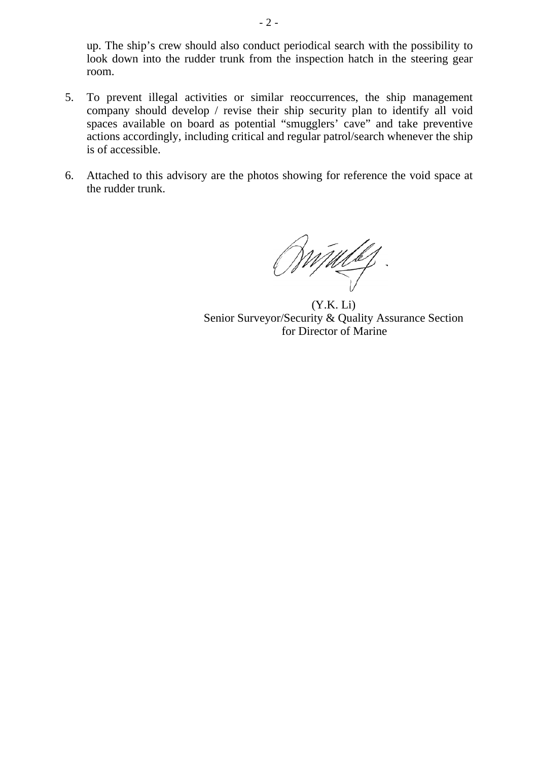up. The ship's crew should also conduct periodical search with the possibility to look down into the rudder trunk from the inspection hatch in the steering gear room.

- 5. To prevent illegal activities or similar reoccurrences, the ship management company should develop / revise their ship security plan to identify all void spaces available on board as potential "smugglers' cave" and take preventive actions accordingly, including critical and regular patrol/search whenever the ship is of accessible.
- 6. Attached to this advisory are the photos showing for reference the void space at the rudder trunk.

Windel

(Y.K. Li) Senior Surveyor/Security & Quality Assurance Section for Director of Marine